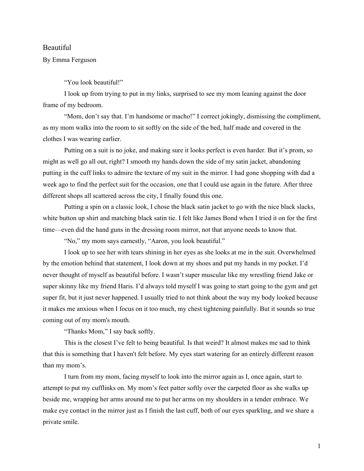## Beautiful

## By Emma Ferguson

"You look beautiful!"

I look up from trying to put in my links, surprised to see my mom leaning against the door frame of my bedroom.

"Mom, don't say that. I'm handsome or macho!" I correct jokingly, dismissing the compliment, as my mom walks into the room to sit softly on the side of the bed, half made and covered in the clothes I was wearing earlier.

Putting on a suit is no joke, and making sure it looks perfect is even harder. But it's prom, so might as well go all out, right? I smooth my hands down the side of my satin jacket, abandoning putting in the cuff links to admire the texture of my suit in the mirror. I had gone shopping with dad a week ago to find the perfect suit for the occasion, one that I could use again in the future. After three different shops all scattered across the city, I finally found this one.

Putting a spin on a classic look, I chose the black satin jacket to go with the nice black slacks, white button up shirt and matching black satin tie. I felt like James Bond when I tried it on for the first time—even did the hand guns in the dressing room mirror, not that anyone needs to know that.

"No," my mom says earnestly, "Aaron, you look beautiful."

I look up to see her with tears shining in her eyes as she looks at me in the suit. Overwhelmed by the emotion behind that statement, I look down at my shoes and put my hands in my pocket. I'd never thought of myself as beautiful before. I wasn't super muscular like my wrestling friend Jake or super skinny like my friend Haris. I'd always told myself I was going to start going to the gym and get super fit, but it just never happened. I usually tried to not think about the way my body looked because it makes me anxious when I focus on it too much, my chest tightening painfully. But it sounds so true coming out of my mom's mouth.

"Thanks Mom," I say back softly.

This is the closest I've felt to being beautiful. Is that weird? It almost makes me sad to think that this is something that I haven't felt before. My eyes start watering for an entirely different reason than my mom's.

I turn from my mom, facing myself to look into the mirror again as I, once again, start to attempt to put my cufflinks on. My mom's feet patter softly over the carpeted floor as she walks up beside me, wrapping her arms around me to put her arms on my shoulders in a tender embrace. We make eye contact in the mirror just as I finish the last cuff, both of our eyes sparkling, and we share a private smile.